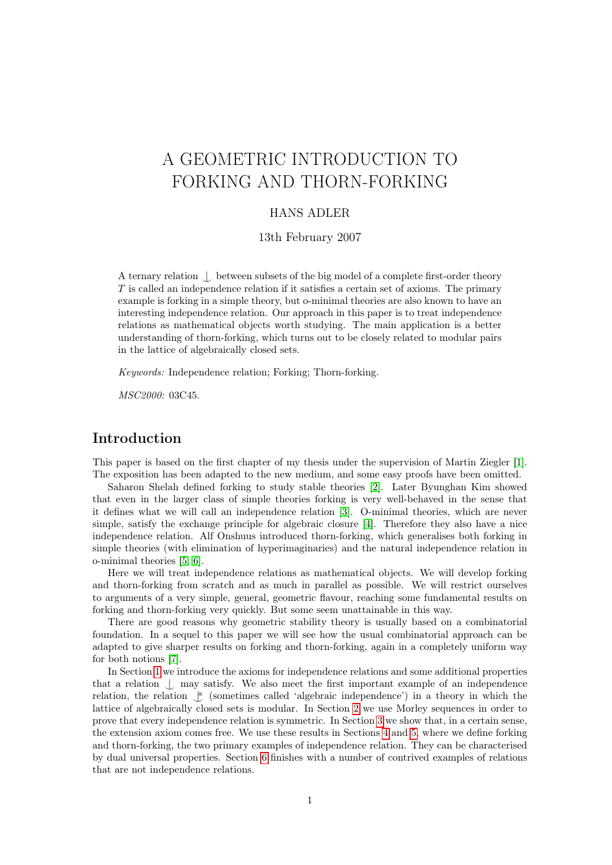# A GEOMETRIC INTRODUCTION TO FORKING AND THORN-FORKING

## HANS ADLER

13th February 2007

A ternary relation  $\Box$  between subsets of the big model of a complete first-order theory T is called an independence relation if it satisfies a certain set of axioms. The primary example is forking in a simple theory, but o-minimal theories are also known to have an interesting independence relation. Our approach in this paper is to treat independence relations as mathematical objects worth studying. The main application is a better understanding of thorn-forking, which turns out to be closely related to modular pairs in the lattice of algebraically closed sets.

Keywords: Independence relation; Forking; Thorn-forking.

MSC2000: 03C45.

## Introduction

This paper is based on the first chapter of my thesis under the supervision of Martin Ziegler [\[1\]](#page-14-0). The exposition has been adapted to the new medium, and some easy proofs have been omitted.

Saharon Shelah defined forking to study stable theories [\[2\]](#page-14-1). Later Byunghan Kim showed that even in the larger class of simple theories forking is very well-behaved in the sense that it defines what we will call an independence relation [\[3\]](#page-14-2). O-minimal theories, which are never simple, satisfy the exchange principle for algebraic closure [\[4\]](#page-14-3). Therefore they also have a nice independence relation. Alf Onshuus introduced thorn-forking, which generalises both forking in simple theories (with elimination of hyperimaginaries) and the natural independence relation in o-minimal theories [\[5,](#page-14-4) [6\]](#page-14-5).

Here we will treat independence relations as mathematical objects. We will develop forking and thorn-forking from scratch and as much in parallel as possible. We will restrict ourselves to arguments of a very simple, general, geometric flavour, reaching some fundamental results on forking and thorn-forking very quickly. But some seem unattainable in this way.

There are good reasons why geometric stability theory is usually based on a combinatorial foundation. In a sequel to this paper we will see how the usual combinatorial approach can be adapted to give sharper results on forking and thorn-forking, again in a completely uniform way for both notions [\[7\]](#page-14-6).

In Section [1](#page-1-0) we introduce the axioms for independence relations and some additional properties that a relation  $\Box$  may satisfy. We also meet the first important example of an independence relation, the relation  $\int_{a}^{a}$  (sometimes called 'algebraic independence') in a theory in which the lattice of algebraically closed sets is modular. In Section [2](#page-4-0) we use Morley sequences in order to prove that every independence relation is symmetric. In Section [3](#page-5-0) we show that, in a certain sense, the extension axiom comes free. We use these results in Sections [4](#page-7-0) and [5,](#page-10-0) where we define forking and thorn-forking, the two primary examples of independence relation. They can be characterised by dual universal properties. Section [6](#page-11-0) finishes with a number of contrived examples of relations that are not independence relations.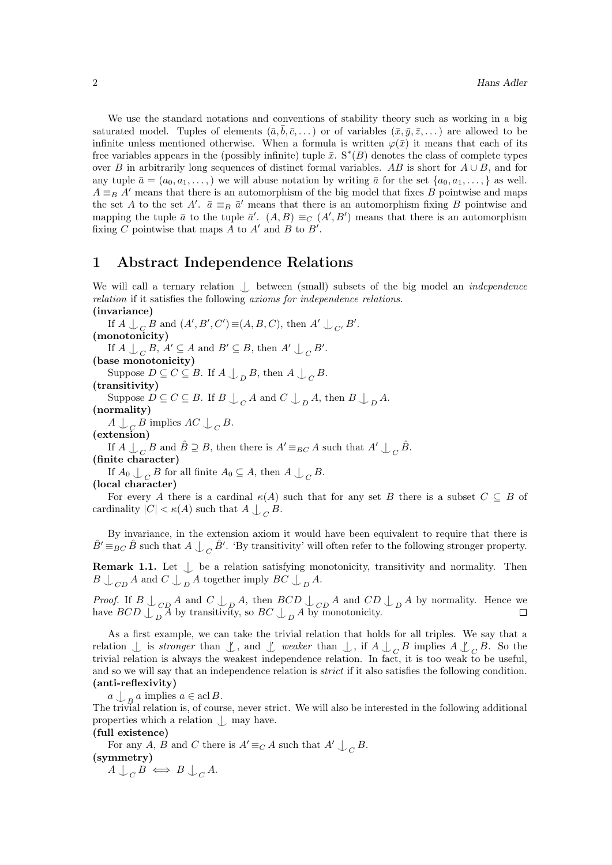We use the standard notations and conventions of stability theory such as working in a big saturated model. Tuples of elements  $(\bar{a}, \bar{b}, \bar{c}, \dots)$  or of variables  $(\bar{x}, \bar{y}, \bar{z}, \dots)$  are allowed to be infinite unless mentioned otherwise. When a formula is written  $\varphi(\bar{x})$  it means that each of its free variables appears in the (possibly infinite) tuple  $\bar{x}$ . S<sup>\*</sup>(B) denotes the class of complete types over B in arbitrarily long sequences of distinct formal variables. AB is short for  $A \cup B$ , and for any tuple  $\bar{a} = (a_0, a_1, \ldots)$  we will abuse notation by writing  $\bar{a}$  for the set  $\{a_0, a_1, \ldots\}$  as well.  $A \equiv_B A'$  means that there is an automorphism of the big model that fixes B pointwise and maps the set A to the set A'.  $\bar{a} \equiv_B \bar{a}'$  means that there is an automorphism fixing B pointwise and mapping the tuple  $\bar{a}$  to the tuple  $\bar{a}'$ .  $(A, B) \equiv_C (A', B')$  means that there is an automorphism fixing C pointwise that maps A to  $A'$  and B to  $B'$ .

# <span id="page-1-0"></span>1 Abstract Independence Relations

We will call a ternary relation  $\int$  between (small) subsets of the big model an *independence* relation if it satisfies the following axioms for independence relations. (invariance)

If  $A \bigcup_{C} B$  and  $(A', B', C') \equiv (A, B, C)$ , then  $A' \bigcup_{C'} B'$ .

(monotonicity)

If  $A \bigcup_C B$ ,  $A' \subseteq A$  and  $B' \subseteq B$ , then  $A' \bigcup_C B'$ .

(base monotonicity)

Suppose  $D \subseteq C \subseteq B$ . If  $A \bigcup_{D} B$ , then  $A \bigcup_{C} B$ .

(transitivity)

Suppose  $D \subseteq C \subseteq B$ . If  $B \bigcup_C A$  and  $C \bigcup_D A$ , then  $B \bigcup_D A$ .

(normality)

 $A \bigcup_C B$  implies  $AC \bigcup_C B$ .

(extension)

If  $A \cup_{C} B$  and  $\hat{B} \supseteq B$ , then there is  $A' \equiv_{BC} A$  such that  $A' \cup_{C} \hat{B}$ .

(finite character)

If  $A_0 \perp_C B$  for all finite  $A_0 \subseteq A$ , then  $A \perp_C B$ .

(local character)

For every A there is a cardinal  $\kappa(A)$  such that for any set B there is a subset  $C \subseteq B$  of cardinality  $|C| < \kappa(A)$  such that  $A \bigcup_C B$ .

By invariance, in the extension axiom it would have been equivalent to require that there is  $\hat{B}' \equiv_{BC} \hat{B}$  such that  $A \perp_C \hat{B}'$ . 'By transitivity' will often refer to the following stronger property.

<span id="page-1-2"></span>**Remark 1.1.** Let  $\perp$  be a relation satisfying monotonicity, transitivity and normality. Then  $B\bigcup_{CD} A$  and  $C\bigcup_{D} A$  together imply  $BC\bigcup_{D} A$ .

*Proof.* If  $B \perp_{CD} A$  and  $C \perp_{D} A$ , then  $BCD \perp_{CD} A$  and  $CD \perp_{D} A$  by normality. Hence we have  $BCD \bigcup_{D} A$  by transitivity, so  $BC \bigcup_{D} A$  by monotonicity.

As a first example, we can take the trivial relation that holds for all triples. We say that a relation  $\bigcup$  is stronger than  $\bigcup$ , and  $\bigcup$  weaker than  $\bigcup$ , if  $A \bigcup_C B$  implies  $A \bigcup$  $C \stackrel{B.}{\cdot}$  So the trivial relation is always the weakest independence relation. In fact, it is too weak to be useful, and so we will say that an independence relation is *strict* if it also satisfies the following condition. (anti-reflexivity)

 $a \nightharpoonup_B a$  implies  $a \in \operatorname{acl} B$ .

The trivial relation is, of course, never strict. We will also be interested in the following additional properties which a relation  $\perp$  may have.

#### (full existence)

For any A, B and C there is  $A' \equiv_C A$  such that  $A' \perp C B$ . (symmetry)

<span id="page-1-1"></span>
$$
A \cup_C B \iff B \cup_C A.
$$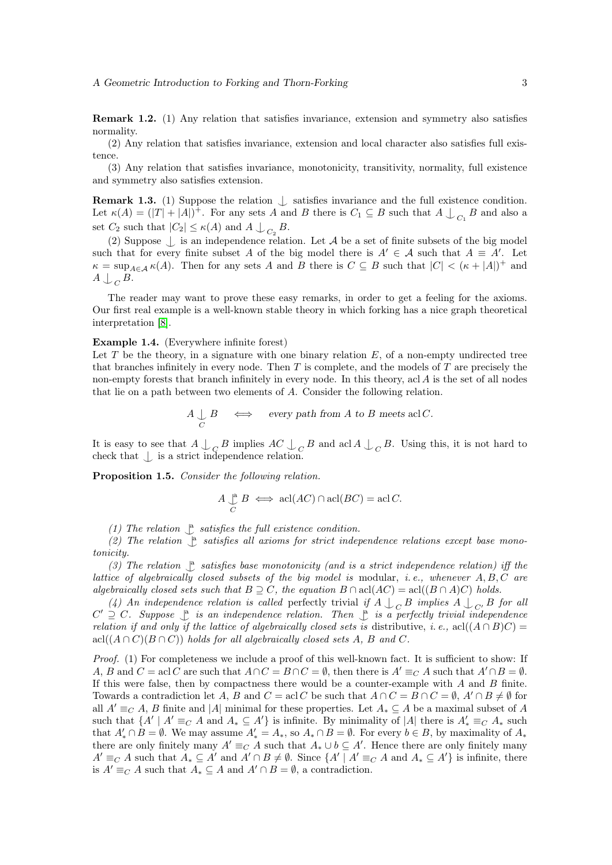Remark 1.2. (1) Any relation that satisfies invariance, extension and symmetry also satisfies normality.

(2) Any relation that satisfies invariance, extension and local character also satisfies full existence.

(3) Any relation that satisfies invariance, monotonicity, transitivity, normality, full existence and symmetry also satisfies extension.

**Remark 1.3.** (1) Suppose the relation  $\bigcup$  satisfies invariance and the full existence condition. Let  $\kappa(A) = (|T| + |A|)^+$ . For any sets A and B there is  $C_1 \subseteq B$  such that  $A \bigcup_{C_1} B$  and also a set  $C_2$  such that  $|C_2| \le \kappa(A)$  and  $A \bigcup_{C_2} B$ .

(2) Suppose  $\Box$  is an independence relation. Let A be a set of finite subsets of the big model such that for every finite subset A of the big model there is  $A' \in \mathcal{A}$  such that  $A \equiv A'$ . Let  $\kappa = \sup_{A \in \mathcal{A}} \kappa(A)$ . Then for any sets A and B there is  $C \subseteq B$  such that  $|C| < (\kappa + |A|)^+$  and  $A \bigcup_C B$ .

The reader may want to prove these easy remarks, in order to get a feeling for the axioms. Our first real example is a well-known stable theory in which forking has a nice graph theoretical interpretation [\[8\]](#page-14-7).

<span id="page-2-1"></span>Example 1.4. (Everywhere infinite forest)

Let T be the theory, in a signature with one binary relation  $E$ , of a non-empty undirected tree that branches infinitely in every node. Then  $T$  is complete, and the models of  $T$  are precisely the non-empty forests that branch infinitely in every node. In this theory, acl A is the set of all nodes that lie on a path between two elements of A. Consider the following relation.

$$
A \underset{C}{\bigcup} B \quad \iff \quad \text{every path from $A$ to $B$ meets acl $C$.}
$$

It is easy to see that  $A \cup_{C} B$  implies  $AC \cup_{C} B$  and acl  $A \cup_{C} B$ . Using this, it is not hard to check that  $\bigcup$  is a strict independence relation.

<span id="page-2-0"></span>Proposition 1.5. Consider the following relation.

$$
A \underset{C}{\downarrow} B \iff \operatorname{acl}(AC) \cap \operatorname{acl}(BC) = \operatorname{acl}(C.
$$

(1) The relation  $\int_{a}^{\infty}$  satisfies the full existence condition.

(2) The relation  $\mathcal{L}$  satisfies all axioms for strict independence relations except base monotonicity.

(3) The relation  $\mathcal{L}$  satisfies base monotonicity (and is a strict independence relation) iff the lattice of algebraically closed subsets of the big model is modular, i.e., whenever  $A, B, C$  are algebraically closed sets such that  $B \supseteq C$ , the equation  $B \cap \text{acl}(AC) = \text{acl}((B \cap A)C)$  holds.

(4) An independence relation is called perfectly trivial if  $A \perp_C B$  implies  $A \perp_{C'} B$  for all  $C' \supseteq C$ . Suppose  $\bigcup_{\alpha=1}^{\infty}$  is an independence relation. Then  $\bigcup_{\alpha=1}^{\infty}$  is a perfectly trivial independence relation if and only if the lattice of algebraically closed sets is distributive, i.e., acl( $(A \cap B)C$ ) = acl $((A \cap C)(B \cap C))$  holds for all algebraically closed sets A, B and C.

Proof. (1) For completeness we include a proof of this well-known fact. It is sufficient to show: If A, B and  $C = \text{acl } C$  are such that  $A \cap C = B \cap C = \emptyset$ , then there is  $A' \equiv_C A$  such that  $A' \cap B = \emptyset$ . If this were false, then by compactness there would be a counter-example with  $A$  and  $B$  finite. Towards a contradiction let A, B and  $C = \text{acl } C$  be such that  $A \cap C = B \cap C = \emptyset$ ,  $A' \cap B \neq \emptyset$  for all  $A' \equiv_C A$ , B finite and |A| minimal for these properties. Let  $A_* \subseteq A$  be a maximal subset of A such that  $\{A' \mid A' \equiv_C A \text{ and } A_* \subseteq A'\}$  is infinite. By minimality of  $|A|$  there is  $A'_* \equiv_C A_*$  such that  $A'_* \cap B = \emptyset$ . We may assume  $A'_* = A_*,$  so  $A_* \cap B = \emptyset$ . For every  $b \in B$ , by maximality of  $A_*$ there are only finitely many  $A' \equiv_C A$  such that  $A_* \cup b \subseteq A'$ . Hence there are only finitely many  $A' \equiv_C A$  such that  $A_* \subseteq A'$  and  $A' \cap B \neq \emptyset$ . Since  $\{A' \mid A' \equiv_C A \text{ and } A_* \subseteq A'\}$  is infinite, there is  $A' \equiv_C A$  such that  $A_* \subseteq A$  and  $A' \cap B = \emptyset$ , a contradiction.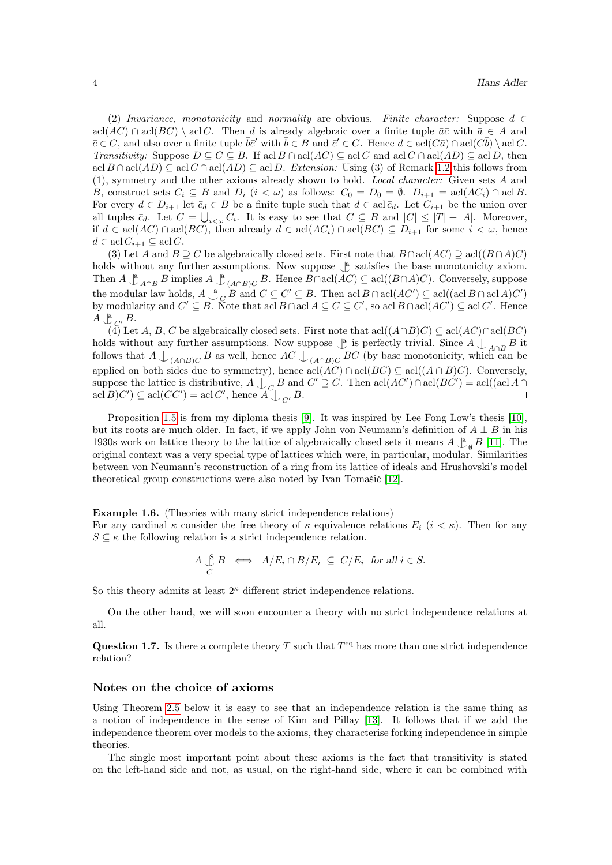(2) Invariance, monotonicity and normality are obvious. Finite character: Suppose  $d \in$ acl(AC) ∩ acl(BC) \ acl C. Then d is already algebraic over a finite tuple  $\bar{a}\bar{c}$  with  $\bar{a} \in A$  and  $\overline{c} \in C$ , and also over a finite tuple  $\overline{b}\overline{c}'$  with  $\overline{b} \in B$  and  $\overline{c}' \in C$ . Hence  $d \in \text{acl}(C\overline{a}) \cap \text{acl}(C\overline{b}) \setminus \text{acl}(C$ . Transitivity: Suppose  $D \subseteq C \subseteq B$ . If acl  $B \cap \text{acl}(AC) \subseteq \text{acl}(A \cap \text{acl}(AD) \subseteq \text{acl}(D)$ , then acl  $B \cap \text{acl}(AD) \subseteq \text{acl}(AD) \subseteq \text{acl}(AD) \subseteq \text{acl}(D)$ . Extension: Using (3) of Remark [1.2](#page-1-1) this follows from (1), symmetry and the other axioms already shown to hold. Local character: Given sets A and B, construct sets  $C_i \subseteq B$  and  $D_i$   $(i < \omega)$  as follows:  $C_0 = D_0 = \emptyset$ .  $D_{i+1} = \text{acl}(AC_i) \cap \text{acl}B$ . For every  $d \in D_{i+1}$  let  $\bar{c}_d \in B$  be a finite tuple such that  $d \in \text{acl}\bar{c}_d$ . Let  $C_{i+1}$  be the union over all tuples  $\bar{c}_d$ . Let  $C = \bigcup_{i<\omega} C_i$ . It is easy to see that  $C \subseteq B$  and  $|C| \leq |T| + |A|$ . Moreover, if  $d \in \text{acl}(AC) \cap \text{acl}(BC)$ , then already  $d \in \text{acl}(AC_i) \cap \text{acl}(BC) \subseteq D_{i+1}$  for some  $i < \omega$ , hence  $d \in \operatorname{acl} C_{i+1} \subseteq \operatorname{acl} C$ .

(3) Let A and  $B \supseteq C$  be algebraically closed sets. First note that  $B \cap \text{acl}(AC) \supseteq \text{acl}((B \cap A)C)$ holds without any further assumptions. Now suppose  $\frac{a}{a}$  satisfies the base monotonicity axiom. Then  $A \perp_{A \cap B}^{\mathfrak{a}} B$  implies  $A \perp_{(A \cap B)C}^{\mathfrak{a}} B$ . Hence  $B \cap \text{acl}(AC) \subseteq \text{acl}((B \cap A)C)$ . Conversely, suppose the modular law holds,  $A \overset{a}{\underset{C}{\righttriangle}} B$  and  $C \subseteq C' \subseteq B$ . Then acl  $B \cap \text{acl}(AC') \subseteq \text{acl}((\text{acl }B \cap \text{acl }A)C')$ by modularity and  $C' \subseteq B$ . Note that acl  $B \cap \text{acl } A \subseteq C \subseteq C'$ , so acl  $B \cap \text{acl } (AC') \subseteq \text{acl } C'$ . Hence  $A \bigcup_{C}^{\mathbf{a}} C$ .

(4) Let A, B, C be algebraically closed sets. First note that  $\text{acl}(A \cap B)C \subseteq \text{acl}(AC) \cap \text{acl}(BC)$ holds without any further assumptions. Now suppose  $\downarrow$  is perfectly trivial. Since  $A \bigcup_{A \cap B} B$  it follows that  $A \perp_{(A \cap B)C} B$  as well, hence  $AC \perp_{(A \cap B)C} BC$  (by base monotonicity, which can be applied on both sides due to symmetry), hence  $\text{acl}(AC) \cap \text{acl}(BC) \subseteq \text{acl}((A \cap B)C)$ . Conversely, suppose the lattice is distributive,  $A \bigcup_{C \in \mathcal{C}} B$  and  $C' \supseteq C$ . Then  $\text{acl}(AC') \cap \text{acl}(BC') = \text{acl}((\text{acl}(A \cap \overline{C})) \cap \text{acl}((\text{acl}(A \cap \overline{C})))$  $\operatorname{acl}(BC') \subseteq \operatorname{acl}(CC') = \operatorname{acl}(C', \text{ hence } A \bigcup_{C'} B.$  $\Box$ 

Proposition [1.5](#page-2-0) is from my diploma thesis [\[9\]](#page-14-8). It was inspired by Lee Fong Low's thesis [\[10\]](#page-14-9), but its roots are much older. In fact, if we apply John von Neumann's definition of  $A \perp B$  in his 1930s work on lattice theory to the lattice of algebraically closed sets it means  $A \underset{\phi}{\downarrow}_{\theta} B$  [\[11\]](#page-14-10). The original context was a very special type of lattices which were, in particular, modular. Similarities between von Neumann's reconstruction of a ring from its lattice of ideals and Hrushovski's model theoretical group constructions were also noted by Ivan Tomašić [\[12\]](#page-14-11).

Example 1.6. (Theories with many strict independence relations) For any cardinal  $\kappa$  consider the free theory of  $\kappa$  equivalence relations  $E_i$   $(i < \kappa)$ . Then for any  $S \subseteq \kappa$  the following relation is a strict independence relation.

$$
A \underset{C}{\downarrow} B \iff A/E_i \cap B/E_i \subseteq C/E_i \text{ for all } i \in S.
$$

So this theory admits at least  $2<sup>\kappa</sup>$  different strict independence relations.

On the other hand, we will soon encounter a theory with no strict independence relations at all.

Question 1.7. Is there a complete theory T such that  $T<sup>eq</sup>$  has more than one strict independence relation?

#### Notes on the choice of axioms

Using Theorem [2.5](#page-5-1) below it is easy to see that an independence relation is the same thing as a notion of independence in the sense of Kim and Pillay [\[13\]](#page-14-12). It follows that if we add the independence theorem over models to the axioms, they characterise forking independence in simple theories.

The single most important point about these axioms is the fact that transitivity is stated on the left-hand side and not, as usual, on the right-hand side, where it can be combined with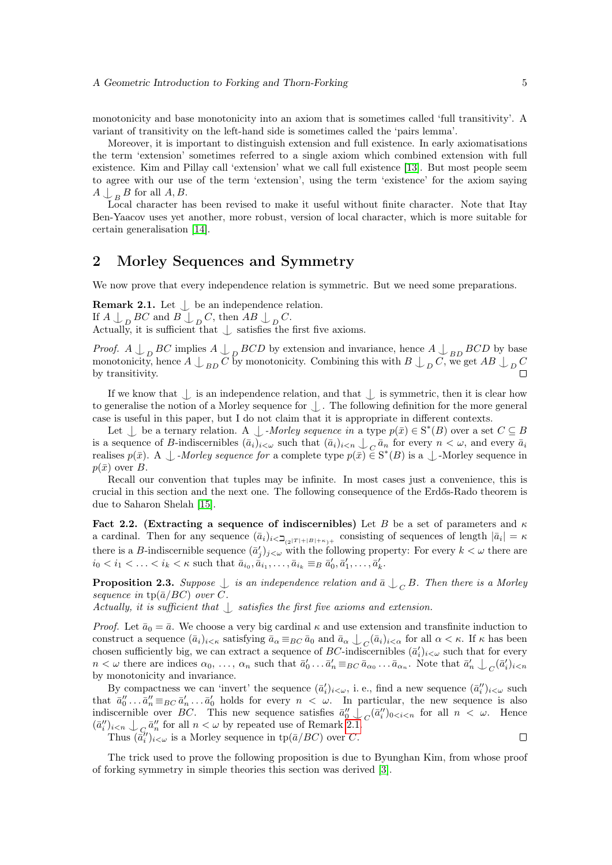monotonicity and base monotonicity into an axiom that is sometimes called 'full transitivity'. A variant of transitivity on the left-hand side is sometimes called the 'pairs lemma'.

Moreover, it is important to distinguish extension and full existence. In early axiomatisations the term 'extension' sometimes referred to a single axiom which combined extension with full existence. Kim and Pillay call 'extension' what we call full existence [\[13\]](#page-14-12). But most people seem to agree with our use of the term 'extension', using the term 'existence' for the axiom saying  $A \bigcup_{B} B$  for all  $A, B$ .

Local character has been revised to make it useful without finite character. Note that Itay Ben-Yaacov uses yet another, more robust, version of local character, which is more suitable for certain generalisation [\[14\]](#page-14-13).

## <span id="page-4-0"></span>2 Morley Sequences and Symmetry

We now prove that every independence relation is symmetric. But we need some preparations.

<span id="page-4-1"></span>**Remark 2.1.** Let  $\bigcup$  be an independence relation. If  $A \bigcup_{D} BC$  and  $B \bigcup_{D} C$ , then  $AB \bigcup_{D} C$ . Actually, it is sufficient that  $\perp$  satisfies the first five axioms.

*Proof.*  $A \perp_{D} BC$  implies  $A \perp_{D} BCD$  by extension and invariance, hence  $A \perp_{BD} BCD$  by base monotonicity, hence  $A \perp_{BD} C$  by monotonicity. Combining this with  $B \perp_{D} C$ , we get  $AB \perp_{D} C$ by transitivity.  $\Box$ 

If we know that  $\bigcup$  is an independence relation, and that  $\bigcup$  is symmetric, then it is clear how to generalise the notion of a Morley sequence for  $\Box$ . The following definition for the more general case is useful in this paper, but I do not claim that it is appropriate in different contexts.

Let  $\perp$  be a ternary relation. A  $\perp$  -Morley sequence in a type  $p(\bar{x}) \in S^*(B)$  over a set  $C \subseteq B$ is a sequence of B-indiscernibles  $(\bar{a}_i)_{i<\omega}$  such that  $(\bar{a}_i)_{i<\eta} \cup_{C} \bar{a}_n$  for every  $n < \omega$ , and every  $\bar{a}_i$ realises  $p(\bar{x})$ . A  $\perp$  -Morley sequence for a complete type  $p(\bar{x}) \in S^*(B)$  is a  $\perp$ -Morley sequence in  $p(\bar{x})$  over B.

Recall our convention that tuples may be infinite. In most cases just a convenience, this is crucial in this section and the next one. The following consequence of the Erdős-Rado theorem is due to Saharon Shelah [\[15\]](#page-14-14).

Fact 2.2. (Extracting a sequence of indiscernibles) Let B be a set of parameters and  $\kappa$ a cardinal. Then for any sequence  $(\bar{a}_i)_{i \leq \mathbf{\mathcal{Z}}_{(2^{|T|+|B|+\kappa})^+}}$  consisting of sequences of length  $|\bar{a}_i| = \kappa$ there is a B-indiscernible sequence  $(\bar{a}'_j)_{j<\omega}$  with the following property: For every  $k<\omega$  there are  $i_0 < i_1 < \ldots < i_k < \kappa$  such that  $\bar{a}_{i_0}, \bar{a}_{i_1}, \ldots, \bar{a}_{i_k} \equiv_B \bar{a}'_0, \bar{a}'_1, \ldots, \bar{a}'_k$ .

<span id="page-4-2"></span>**Proposition 2.3.** Suppose  $\bigcup$  is an independence relation and  $\bar{a}$   $\bigcup_C B$ . Then there is a Morley sequence in  $tp(\bar{a}/BC)$  over C.

Actually, it is sufficient that  $\langle \cdot \rangle$  satisfies the first five axioms and extension.

*Proof.* Let  $\bar{a}_0 = \bar{a}$ . We choose a very big cardinal  $\kappa$  and use extension and transfinite induction to construct a sequence  $(\bar{a}_i)_{i<\kappa}$  satisfying  $\bar{a}_{\alpha}\equiv_{BC}\bar{a}_0$  and  $\bar{a}_{\alpha}\downarrow_{C}(\bar{a}_i)_{i<\alpha}$  for all  $\alpha<\kappa$ . If  $\kappa$  has been chosen sufficiently big, we can extract a sequence of BC-indiscernibles  $(\bar{a}'_i)_{i<\omega}$  such that for every  $n < \omega$  there are indices  $\alpha_0, \ldots, \alpha_n$  such that  $\bar{a}'_0 \ldots \bar{a}'_n \equiv_{BC} \bar{a}_{\alpha_0} \ldots \bar{a}_{\alpha_n}$ . Note that  $\bar{a}'_n \downarrow_C (\bar{a}'_i)_{i \le n}$ by monotonicity and invariance.

By compactness we can 'invert' the sequence  $(\bar{a}'_i)_{i\lt\omega}$ , i. e., find a new sequence  $(\bar{a}''_i)_{i\lt\omega}$  such that  $\bar{a}_0'' \dots \bar{a}_n'' \equiv_{BC} \bar{a}_n' \dots \bar{a}_0'$  holds for every  $n < \omega$ . In particular, the new sequence is also indiscernible over BC. This new sequence satisfies  $\bar{a}_0'' \downarrow_{C} (\bar{a}_i'')_{0 \le i \le n}$  for all  $n < \omega$ . Hence  $(\bar{a}_i'')_{i \leq n} \bigcup_{C_i \cap \bar{a}_i''} \bar{a}_i''$  for all  $n < \omega$  by repeated use of Remark [2.1.](#page-4-1)

Thus  $(\bar{\tilde{a}}_i'')_{i < \omega}$  is a Morley sequence in  $tp(\bar{a}/BC)$  over C.

 $\Box$ 

<span id="page-4-3"></span>The trick used to prove the following proposition is due to Byunghan Kim, from whose proof of forking symmetry in simple theories this section was derived [\[3\]](#page-14-2).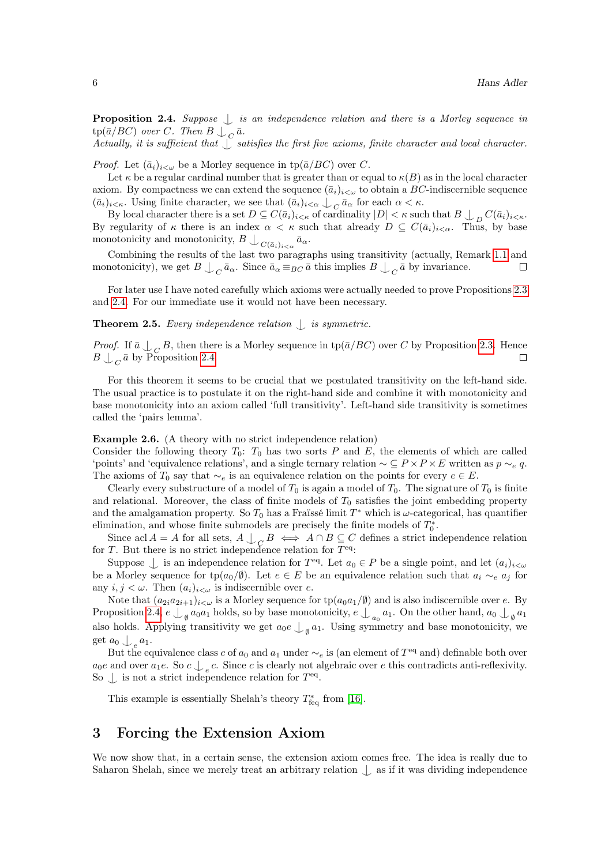**Proposition 2.4.** Suppose  $\perp$  is an independence relation and there is a Morley sequence in  $\text{tp}(\bar{a}/BC)$  over C. Then  $B \bigcup_C \bar{a}$ .

Actually, it is sufficient that  $\int$  satisfies the first five axioms, finite character and local character.

*Proof.* Let  $(\bar{a}_i)_{i < \omega}$  be a Morley sequence in tp( $\bar{a}/BC$ ) over C.

Let  $\kappa$  be a regular cardinal number that is greater than or equal to  $\kappa(B)$  as in the local character axiom. By compactness we can extend the sequence  $(\bar{a}_i)_{i<\omega}$  to obtain a BC-indiscernible sequence  $(\bar{a}_i)_{i \leq \kappa}$ . Using finite character, we see that  $(\bar{a}_i)_{i \leq \alpha} \downarrow_C \bar{a}_\alpha$  for each  $\alpha \leq \kappa$ .

By local character there is a set  $D \subseteq C(\bar{a}_i)_{i \leq \kappa}$  of cardinality  $|D| < \kappa$  such that  $B \bigcup_{D} C(\bar{a}_i)_{i \leq \kappa}$ . By regularity of  $\kappa$  there is an index  $\alpha < \kappa$  such that already  $D \subseteq C(\bar{a}_i)_{i < \alpha}$ . Thus, by base monotonicity and monotonicity,  $B\bigcup_{C(\bar{a}_i)_{i\leq \alpha}}\bar{a}_{\alpha}$ .

Combining the results of the last two paragraphs using transitivity (actually, Remark [1.1](#page-1-2) and monotonicity), we get  $B \perp_{C} \bar{a}_{\alpha}$ . Since  $\bar{a}_{\alpha} \equiv_{BC} \bar{a}$  this implies  $B \perp_{C} \bar{a}$  by invariance.  $\Box$ 

For later use I have noted carefully which axioms were actually needed to prove Propositions [2.3](#page-4-2) and [2.4.](#page-4-3) For our immediate use it would not have been necessary.

<span id="page-5-1"></span>**Theorem 2.5.** Every independence relation  $\bigcup$  is symmetric.

*Proof.* If  $\bar{a} \perp_{C} B$ , then there is a Morley sequence in tp( $\bar{a}/BC$ ) over C by Proposition [2.3.](#page-4-2) Hence  $B \bigcup_C \bar{a}$  by Proposition [2.4.](#page-4-3)

For this theorem it seems to be crucial that we postulated transitivity on the left-hand side. The usual practice is to postulate it on the right-hand side and combine it with monotonicity and base monotonicity into an axiom called 'full transitivity'. Left-hand side transitivity is sometimes called the 'pairs lemma'.

<span id="page-5-2"></span>Example 2.6. (A theory with no strict independence relation)

Consider the following theory  $T_0$ :  $T_0$  has two sorts P and E, the elements of which are called 'points' and 'equivalence relations', and a single ternary relation  $\sim \subseteq P \times P \times E$  written as  $p \sim_e q$ . The axioms of  $T_0$  say that  $\sim_e$  is an equivalence relation on the points for every  $e \in E$ .

Clearly every substructure of a model of  $T_0$  is again a model of  $T_0$ . The signature of  $T_0$  is finite and relational. Moreover, the class of finite models of  $T_0$  satisfies the joint embedding property and the amalgamation property. So  $T_0$  has a Fraïssé limit  $T^*$  which is  $\omega$ -categorical, has quantifier elimination, and whose finite submodels are precisely the finite models of  $T_0^*$ .

Since acl  $A = A$  for all sets,  $A \bigcup_C B \iff A \cap B \subseteq C$  defines a strict independence relation for T. But there is no strict independence relation for  $T^{eq}$ :

Suppose  $\perp$  is an independence relation for  $T^{eq}$ . Let  $a_0 \in P$  be a single point, and let  $(a_i)_{i<\omega}$ be a Morley sequence for tp( $a_0/\emptyset$ ). Let  $e \in E$  be an equivalence relation such that  $a_i \sim_e a_j$  for any  $i, j < \omega$ . Then  $(a_i)_{i < \omega}$  is indiscernible over e.

Note that  $(a_{2i}a_{2i+1})_{i\leq\omega}$  is a Morley sequence for  $tp(a_0a_1/\emptyset)$  and is also indiscernible over e. By Proposition [2.4,](#page-4-3)  $e \bigcup_{\emptyset} a_0a_1$  holds, so by base monotonicity,  $e \bigcup_{a_0} a_1$ . On the other hand,  $a_0 \bigcup_{\emptyset} a_1$ also holds. Applying transitivity we get  $a_0e \bigcup_{\emptyset} a_1$ . Using symmetry and base monotonicity, we get  $a_0 \bigcup_e a_1$ .

But the equivalence class c of  $a_0$  and  $a_1$  under  $\sim_e$  is (an element of  $T<sup>eq</sup>$  and) definable both over  $a_0e$  and over  $a_1e$ . So  $c \nightharpoonup_e c$ . Since c is clearly not algebraic over e this contradicts anti-reflexivity. So  $\perp$  is not a strict independence relation for  $T<sup>eq</sup>$ .

This example is essentially Shelah's theory  $T^*_{\text{feq}}$  from [\[16\]](#page-14-15).

## <span id="page-5-0"></span>3 Forcing the Extension Axiom

We now show that, in a certain sense, the extension axiom comes free. The idea is really due to Saharon Shelah, since we merely treat an arbitrary relation  $\Box$  as if it was dividing independence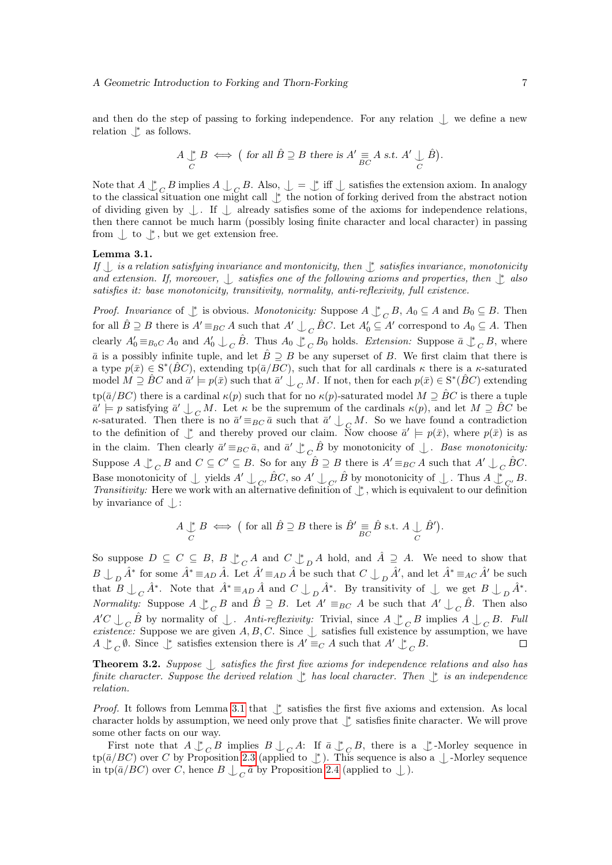and then do the step of passing to forking independence. For any relation  $\downarrow$  we define a new relation  $\int^*$  as follows.

$$
A \underset{C}{\downarrow} B \iff \big( \text{ for all } \hat{B} \supseteq B \text{ there is } A' \underset{BC}{\equiv} A \text{ s.t. } A' \underset{C}{\downarrow} \hat{B} \big).
$$

Note that  $A \downarrow^*$  $\ _{C}$  B implies  $A \cup C$  B. Also,  $\cup = \cup^*$  iff  $\cup$  satisfies the extension axiom. In analogy to the classical situation one might call  $\uparrow$  the notion of forking derived from the abstract notion of dividing given by  $|$ . If  $|$  already satisfies some of the axioms for independence relations, then there cannot be much harm (possibly losing finite character and local character) in passing from  $\int$  to  $\int^*$ , but we get extension free.

#### <span id="page-6-0"></span>Lemma 3.1.

If  $\perp$  is a relation satisfying invariance and montonicity, then  $\perp$  satisfies invariance, monotonicity and extension. If, moreover,  $\perp$  satisfies one of the following axioms and properties, then  $\perp$  also satisfies it: base monotonicity, transitivity, normality, anti-reflexivity, full existence.

*Proof.* Invariance of  $\perp$  is obvious. Monotonicity: Suppose  $A \perp$  $_C B$ ,  $A_0 \subseteq A$  and  $B_0 \subseteq B$ . Then for all  $\hat{B} \supseteq B$  there is  $A' \equiv_{BC} A$  such that  $A' \bigcup_C \hat{B}C$ . Let  $A'_0 \subseteq A'$  correspond to  $A_0 \subseteq A$ . Then clearly  $A'_0 \equiv_{B_0C} A_0$  and  $A'_0 \perp_C \hat{B}$ . Thus  $A_0 \downarrow$  $_C B_0$  holds. Extension: Suppose  $\bar{a} \downarrow^*$  $C^{B, \text{ where}}$  $\bar{a}$  is a possibly infinite tuple, and let  $\hat{B} \supseteq B$  be any superset of B. We first claim that there is a type  $p(\bar{x}) \in S^*(\hat{B}C)$ , extending tp( $\bar{a}/BC$ ), such that for all cardinals  $\kappa$  there is a  $\kappa$ -saturated model  $M \supseteq \hat{B}C$  and  $\bar{a'} \models p(\bar{x})$  such that  $\bar{a'} \bigcup_C M$ . If not, then for each  $p(\bar{x}) \in S^*(\hat{B}C)$  extending tp( $\bar{a}/BC$ ) there is a cardinal  $\kappa(p)$  such that for no  $\kappa(p)$ -saturated model  $M \supseteq BC$  is there a tuple  $\overline{a}' \models p$  satisfying  $\overline{a}' \bigcup_C M$ . Let  $\kappa$  be the supremum of the cardinals  $\kappa(p)$ , and let  $M \supseteq \hat{B}C$  be  $\kappa$ -saturated. Then there is no  $\bar{a}' \equiv_{BC} \bar{a}$  such that  $\bar{a}' \perp_{\mathcal{L}} M$ . So we have found a contradiction to the definition of  $\psi$  and thereby proved our claim. Now choose  $\bar{a}' \models p(\bar{x})$ , where  $p(\bar{x})$  is as in the claim. Then clearly  $\bar{a}' \equiv_{BC} \bar{a}$ , and  $\bar{a}' \downarrow^*$  $\overline{C}$   $\hat{B}$  by monotonicity of  $\downarrow$ . Base monotonicity: Suppose  $A \nightharpoonup^*$  $\overline{C}$  B and  $C \subseteq C' \subseteq B$ . So for any  $\hat{B} \supseteq B$  there is  $A' \equiv_{BC} A$  such that  $A' \bigcup_C \hat{B}C$ . Base monotonicity of  $\perp$  yields  $A' \perp_{C'} \hat{B}C$ , so  $A' \perp_{C'} \hat{B}$  by monotonicity of  $\perp$ . Thus  $A \downarrow_{C'} B$ . Transitivity: Here we work with an alternative definition of  $\downarrow$ , which is equivalent to our definition by invariance of  $\Box$ :

$$
A \underset{C}{\downarrow} B \iff \big( \text{ for all } \hat{B} \supseteq B \text{ there is } \hat{B}' \underset{BC}{\equiv} \hat{B} \text{ s.t. } A \underset{C}{\downarrow} \hat{B}' \big).
$$

So suppose  $D \subseteq C \subseteq B$ ,  $B \downarrow^*$  $C^A$  and  $C^A$  $_D A$  hold, and  $\hat{A} \supseteq A$ . We need to show that  $B \perp_D \hat{A}^*$  for some  $\hat{A}^* \equiv_{AD} \hat{A}$ . Let  $\hat{A}' \equiv_{AD} \hat{A}$  be such that  $C \perp_D \hat{A}'$ , and let  $\hat{A}^* \equiv_{AC} \hat{A}'$  be such that  $B \perp_C \hat{A}^*$ . Note that  $\hat{A}^* \equiv_{AD} \hat{A}$  and  $C \perp_D \hat{A}^*$ . By transitivity of  $\perp$  we get  $B \perp_D \hat{A}^*$ . *Normality:* Suppose  $A \nightharpoonup$  $_C B$  and  $\hat{B} \supseteq B$ . Let  $A' \equiv_{BC} A$  be such that  $A' \bigcup_C \hat{B}$ . Then also  $A'C \perp_C \hat{B}$  by normality of  $\perp$ . Anti-reflexivity: Trivial, since  $A \downarrow$  $\overline{C}$  B implies  $A \downarrow C$  B. Full existence: Suppose we are given A, B, C. Since  $\perp$  satisfies full existence by assumption, we have  $A \uparrow^* \emptyset$ . Since  $\uparrow^*$  satisfies extension there is  $A' \equiv_C A$  such that  $A' \uparrow^* B$ .  $A \downarrow^*$  $\overline{C}$  Ø. Since  $\downarrow$ <sup>\*</sup> satisfies extension there is  $A' \equiv_C A$  such that  $A' \downarrow$ <sup>\*</sup>  $C^{\overline{B}}$ .

<span id="page-6-1"></span>**Theorem 3.2.** Suppose  $\int$  satisfies the first five axioms for independence relations and also has finite character. Suppose the derived relation  $\uparrow$  has local character. Then  $\downarrow$  is an independence relation.

*Proof.* It follows from Lemma [3.1](#page-6-0) that  $\downarrow$  satisfies the first five axioms and extension. As local character holds by assumption, we need only prove that  $\downarrow^*$  satisfies finite character. We will prove some other facts on our way.

First note that  $A \downarrow^*$  $\overline{C}$  B implies  $B \downarrow C$  A: If  $\overline{a} \downarrow$  ${}_{C}B$ , there is a  $\downarrow$  -Morley sequence in  $\text{tp}(\bar{a}/BC)$  over C by Proposition [2.3](#page-4-2) (applied to  $\downarrow$ ). This sequence is also a  $\downarrow$ -Morley sequence in tp( $\bar{a}/BC$ ) over C, hence  $B \perp_{C} \bar{a}$  by Proposition [2.4](#page-4-3) (applied to  $\perp$ ).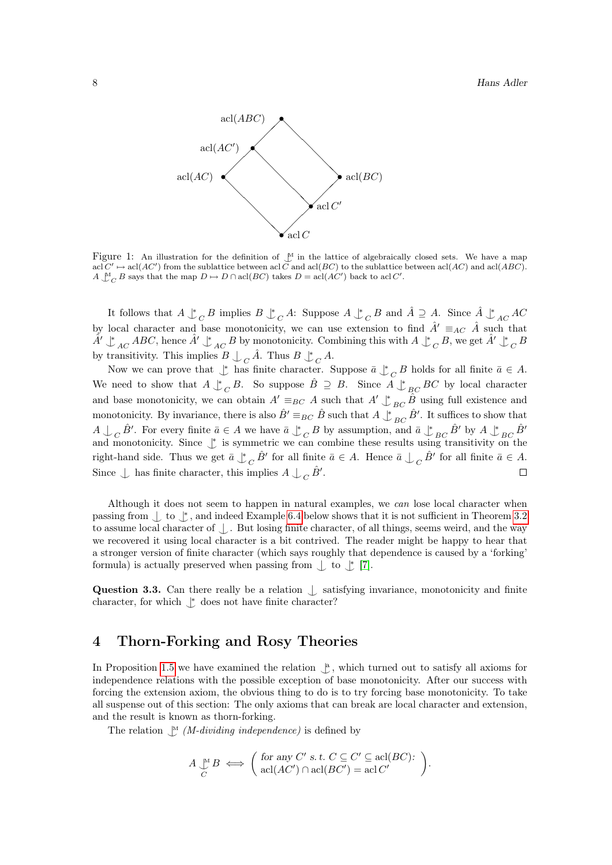

Figure 1: An illustration for the definition of  $\frac{M}{n}$  in the lattice of algebraically closed sets. We have a map  $\text{acl}(C' \rightarrow \text{acl}(AC')$  from the sublattice between acl C and acl(BC) to the sublattice between acl(AC) and acl(ABC).  $A \bigcup_{C}^{M} B$  says that the map  $D \mapsto D \cap \text{acl}(BC)$  takes  $D = \text{acl}(AC')$  back to acl C'.

It follows that  $A \downarrow^*$  $_C$   $B$  implies  $B \mathrel{\downarrow^*}$  $_C A:$  Suppose  $A \downarrow^*$  $\overline{C}$  B and  $\hat{A} \supseteq A$ . Since  $\hat{A} \downarrow^*_{AC} AC$ by local character and base monotonicity, we can use extension to find  $\hat{A}' \equiv_{AC} \hat{A}$  such that  $\hat{A'} \perp_{AC}^* ABC$ , hence  $\hat{A'} \perp_{AC}^* B$  by monotonicity. Combining this with  $A \perp$  $\frac{1}{C}B$ , we get  $\hat{A}' \downarrow^*$  $C\,B$ by transitivity. This implies  $B \cup_{C} \hat{A}$ . Thus  $B \downarrow^*$  $C^{\hat{A}}$ 

Now we can prove that  $\mathcal{L}^*$  has finite character. Suppose  $\bar{a} \mathcal{L}^*$  $\overline{C}$  B holds for all finite  $\overline{a} \in A$ .  $_{C}B.$  So suppose  $\hat{B} \supseteq B.$  Since  $A \downarrow_{BC} BC$  by local character We need to show that  $A \underset{\smile}{\Downarrow}$ and base monotonicity, we can obtain  $A' \equiv_{BC} A$  such that  $A' \downarrow^*_{BC} \hat{B}$  using full existence and monotonicity. By invariance, there is also  $\hat{B}' \equiv_{BC} \hat{B}$  such that  $A \perp_{BC}^* \hat{B}'$ . It suffices to show that  $A \cup_{C} \hat{B}'$ . For every finite  $\bar{a} \in A$  we have  $\bar{a} \downarrow^*$  ${}_{C}B$  by assumption, and  $\bar{a} \perp_{BC} \hat{B}'$  by  $A \perp_{BC} \hat{B}'$ and monotonicity. Since  $\downarrow^*$  is symmetric we can combine these results using transitivity on the  $\overline{C}$   $\hat{B}'$  for all finite  $\overline{a} \in A$ . Hence  $\overline{a} \bigcup_{\mathcal{C}} \hat{B}'$  for all finite  $\overline{a} \in A$ . right-hand side. Thus we get  $\bar{a}\downarrow^*$ Since  $\int$  has finite character, this implies  $A \int_C \hat{B}'$ .  $\Box$ 

Although it does not seem to happen in natural examples, we can lose local character when passing from  $\downarrow$  to  $\downarrow$ , and indeed Example [6.4](#page-13-0) below shows that it is not sufficient in Theorem [3.2](#page-6-1) to assume local character of  $\langle \cdot \rangle$ . But losing finite character, of all things, seems weird, and the way we recovered it using local character is a bit contrived. The reader might be happy to hear that a stronger version of finite character (which says roughly that dependence is caused by a 'forking' formula) is actually preserved when passing from  $\perp$  to  $\uparrow$  [\[7\]](#page-14-6).

Question 3.3. Can there really be a relation  $\int$  satisfying invariance, monotonicity and finite character, for which  $\mathcal{p}^*$  does not have finite character?

# <span id="page-7-0"></span>4 Thorn-Forking and Rosy Theories

In Proposition [1.5](#page-2-0) we have examined the relation  $\int_{a}^{a}$ , which turned out to satisfy all axioms for independence relations with the possible exception of base monotonicity. After our success with forcing the extension axiom, the obvious thing to do is to try forcing base monotonicity. To take all suspense out of this section: The only axioms that can break are local character and extension, and the result is known as thorn-forking.

The relation  $\mathcal{L}^M$  (*M-dividing independence*) is defined by

$$
A \underset{C}{\downarrow^{M}} B \iff \left( \text{ for any } C' \text{ s.t. } C \subseteq C' \subseteq \text{acl}(BC): \\ \text{acl}(AC') \cap \text{acl}(BC') = \text{acl}(C')
$$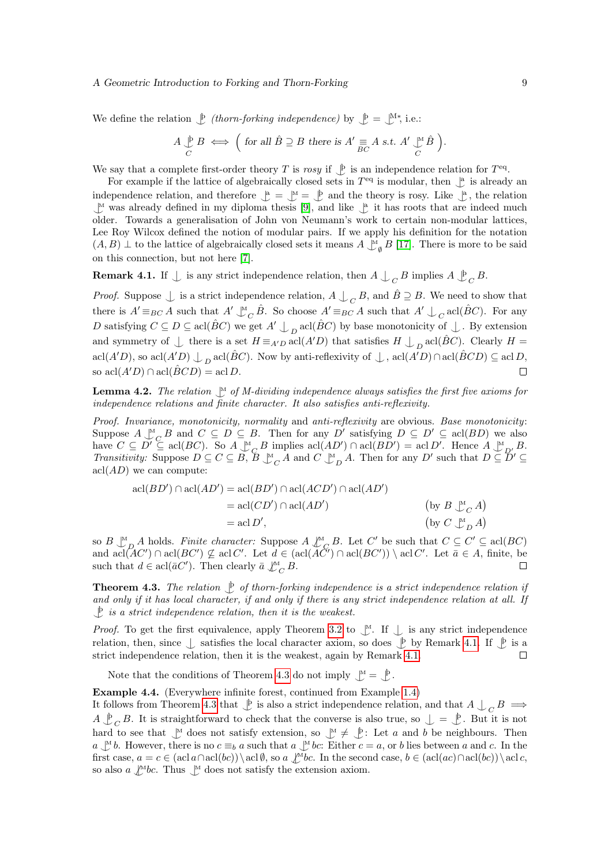#### A Geometric Introduction to Forking and Thorn-Forking 9

We define the relation  $\biguplus (thorn-forking\ independence)$  by  $\biguplus = \bigcup_{k=1}^{M*}$ , i.e.:

$$
A \underset{C}{\downarrow} B \iff \Big( \text{ for all } \hat{B} \supseteq B \text{ there is } A' \underset{BC}{\equiv} A \text{ s.t. } A' \underset{C}{\downarrow} \hat{B} \Big).
$$

We say that a complete first-order theory T is rosy if  $\mathcal{L}$  is an independence relation for  $T^{\text{eq}}$ .

For example if the lattice of algebraically closed sets in  $T<sup>eq</sup>$  is modular, then  $\mathcal{L}^a$  is already an independence relation, and therefore  $\mathcal{L}^a = \mathcal{L}^M = \mathcal{L}^b$  and the theory is rosy. Like  $\mathcal{L}^a$ , the relation  $\mathcal{M}$  was already defined in my diploma thesis [\[9\]](#page-14-8), and like  $\mathcal{A}$  it has roots that are indeed much older. Towards a generalisation of John von Neumann's work to certain non-modular lattices, Lee Roy Wilcox defined the notion of modular pairs. If we apply his definition for the notation  $(A, B) \perp$  to the lattice of algebraically closed sets it means  $A \perp_{\emptyset}^{\mathbb{N}} B$  [\[17\]](#page-14-16). There is more to be said on this connection, but not here [\[7\]](#page-14-6).

<span id="page-8-0"></span>**Remark 4.1.** If  $\perp$  is any strict independence relation, then  $A \perp_C B$  implies  $A \downarrow_C B$ .

*Proof.* Suppose  $\perp$  is a strict independence relation,  $A \perp C B$ , and  $\hat{B} \supseteq B$ . We need to show that there is  $A' \equiv_{BC} A$  such that  $A' \perp_C^M \hat{B}$ . So choose  $A' \equiv_{BC} A$  such that  $A' \perp_C \text{acl}(\hat{B}C)$ . For any D satisfying  $C \subseteq D \subseteq \text{acl}(\hat{B}C)$  we get  $A' \perp_{D} \text{acl}(\hat{B}C)$  by base monotonicity of  $\perp$ . By extension and symmetry of  $\perp$  there is a set  $H \equiv_{A'D} \text{acl}(A'D)$  that satisfies  $H \perp_D \text{acl}(\hat{B}C)$ . Clearly  $H =$  $\text{acl}(A'D)$ , so  $\text{acl}(A'D) \perp_D \text{acl}(\hat{B}C)$ . Now by anti-reflexivity of  $\perp$ ,  $\text{acl}(A'D) \cap \text{acl}(\hat{B}CD) \subseteq \text{acl}D$ , so  $\operatorname{acl}(A'D) \cap \operatorname{acl}(\hat{B}CD) = \operatorname{acl}D$ .  $\Box$ 

<span id="page-8-3"></span>**Lemma 4.2.** The relation  $\bigcup_{i=1}^{M}$  of M-dividing independence always satisfies the first five axioms for independence relations and finite character. It also satisfies anti-reflexivity.

Proof. Invariance, monotonicity, normality and anti-reflexivity are obvious. Base monotonicity: Suppose  $A \underset{\sim}{\downarrow} C$  and  $C \subseteq D \subseteq B$ . Then for any D' satisfying  $D \subseteq D' \subseteq \text{acl}(BD)$  we also have  $C \subseteq D' \subseteq \text{acl}(BC)$ . So  $A \underset{\sim}{\downarrow} C B$  implies  $\text{acl}(AD') \cap \text{acl}(BD') = \text{acl}(D'$ . Hence  $A \underset{\sim}{\downarrow} D'$ ,  $B \underset{\sim}{\downarrow} B$ . Transitivity: Suppose  $D \subseteq C \subseteq B$ ,  $\overline{B} \bigcup_{C}^{M} A$  and  $C \bigcup_{D}^{M} A$ . Then for any  $D'$  such that  $D \subseteq \overline{D}' \subseteq$  $\operatorname{acl}(AD)$  we can compute:

$$
acl(BD') \cap acl(AD') = acl(BD') \cap acl(ACD') \cap acl(AD')
$$
  
= 
$$
acl(CD') \cap acl(AD')
$$
 (by  $B \perp_C A$ )  
= 
$$
acl(D')
$$
 (by  $C \perp_D A$ )

so  $B \downarrow^M_{D} A$  holds. Finite character: Suppose  $A \downarrow^M_{C} B$ . Let C' be such that  $C \subseteq C' \subseteq \text{acl}(BC)$ and  $\text{acl}(AC') \cap \text{acl}(BC') \nsubseteq \text{acl}(C'. \text{ Let } d \in (\text{acl}(AC') \cap \text{acl}(BC')) \setminus \text{acl}(C'. \text{ Let } \bar{a} \in A, \text{ finite, be})$ such that  $d \in \text{acl}(\bar{a}C')$ . Then clearly  $\bar{a} \not\bigcup_{C}^{\mathcal{M}} B$ .  $\Box$ 

<span id="page-8-1"></span>**Theorem 4.3.** The relation  $\downarrow$  of thorn-forking independence is a strict independence relation if and only if it has local character, if and only if there is any strict independence relation at all. If  $\mathcal{L}$  is a strict independence relation, then it is the weakest.

*Proof.* To get the first equivalence, apply Theorem [3.2](#page-6-1) to  $\mathcal{L}$ . If  $\mathcal{L}$  is any strict independence relation, then, since  $\perp$  satisfies the local character axiom, so does  $\downarrow$  by Remark [4.1.](#page-8-0) If  $\downarrow$  is a strict independence relation, then it is the weakest, again by Remark [4.1.](#page-8-0)  $\Box$ 

Note that the conditions of Theorem [4.3](#page-8-1) do not imply  $\mathcal{L}^M = \mathcal{L}$ .

<span id="page-8-2"></span>Example 4.4. (Everywhere infinite forest, continued from Example [1.4\)](#page-2-1)

It follows from Theorem [4.3](#page-8-1) that  $\bigcup p$  is also a strict independence relation, and that  $A \bigcup_C B \implies$  $A \bigcup_{C} B$ . It is straightforward to check that the converse is also true, so  $\bigcup = \bigcup_{C} B$ . But it is not hard to see that  $\bigcup_{n=1}^{\infty}$  does not satisfy extension, so  $\bigcup_{n=1}^{\infty} \neq \bigcup_{n=1}^{\infty}$ : Let a and b be neighbours. Then  $a \perp b$ . However, there is no  $c \equiv_b a$  such that  $a \perp bc$ : Either  $c = a$ , or b lies between a and c. In the first case,  $a = c \in (\text{acl}(bc))\setminus \text{acl}(b, \text{so } a \wedge bc.$  In the second case,  $b \in (\text{acl}(ac)\cap \text{acl}(bc))\setminus \text{acl}(c, \text{so } a \wedge bc$ . so also  $a \nightharpoonup^M bc$ . Thus  $\bigcup^M$  does not satisfy the extension axiom.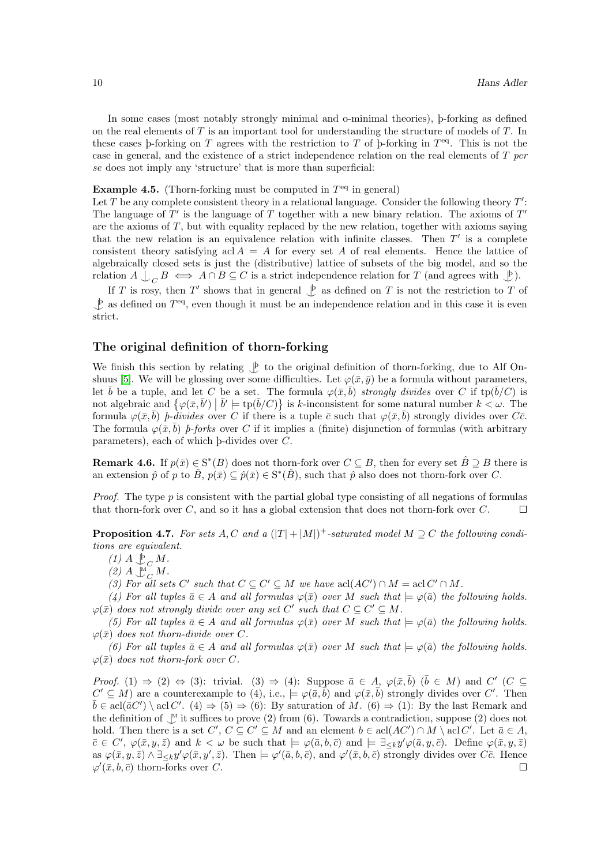In some cases (most notably strongly minimal and o-minimal theories), þ-forking as defined on the real elements of  $T$  is an important tool for understanding the structure of models of  $T$ . In these cases b-forking on T agrees with the restriction to T of b-forking in  $T<sup>eq</sup>$ . This is not the case in general, and the existence of a strict independence relation on the real elements of  $T$  per se does not imply any 'structure' that is more than superficial:

### **Example 4.5.** (Thorn-forking must be computed in  $T<sup>eq</sup>$  in general)

Let  $T$  be any complete consistent theory in a relational language. Consider the following theory  $T'$ : The language of  $T'$  is the language of  $T$  together with a new binary relation. The axioms of  $T'$ are the axioms of  $T$ , but with equality replaced by the new relation, together with axioms saying that the new relation is an equivalence relation with infinite classes. Then  $T'$  is a complete consistent theory satisfying acl  $A = A$  for every set A of real elements. Hence the lattice of algebraically closed sets is just the (distributive) lattice of subsets of the big model, and so the relation  $A \perp_C B \iff A \cap B \subseteq C$  is a strict independence relation for T (and agrees with  $\downarrow P$ ).

If T is rosy, then T' shows that in general  $\bigcup p$  as defined on T is not the restriction to T of  $\mathcal{L}^{\text{b}}$  as defined on  $T^{\text{eq}}$ , even though it must be an independence relation and in this case it is even strict.

## The original definition of thorn-forking

We finish this section by relating  $\mathcal{L}$  to the original definition of thorn-forking, due to Alf On-shuus [\[5\]](#page-14-4). We will be glossing over some difficulties. Let  $\varphi(\bar{x}, \bar{y})$  be a formula without parameters, let  $\bar{b}$  be a tuple, and let C be a set. The formula  $\varphi(\bar{x}, \bar{b})$  strongly divides over C if tp( $\bar{b}/C$ ) is not algebraic and  $\{\varphi(\bar{x}, \bar{b}') \mid \bar{b}' \models \text{tp}(\bar{b}/C)\}$  is k-inconsistent for some natural number  $k < \omega$ . The formula  $\varphi(\bar{x}, \bar{b})$  *b*-divides over C if there is a tuple  $\bar{c}$  such that  $\varphi(\bar{x}, \bar{b})$  strongly divides over C $\bar{c}$ . The formula  $\varphi(\bar{x}, \bar{b})$  *b-forks* over C if it implies a (finite) disjunction of formulas (with arbitrary parameters), each of which þ-divides over C.

**Remark 4.6.** If  $p(\bar{x}) \in S^*(B)$  does not thorn-fork over  $C \subseteq B$ , then for every set  $\hat{B} \supseteq B$  there is an extension  $\hat{p}$  of  $p$  to  $\hat{B}$ ,  $p(\bar{x}) \subseteq \hat{p}(\bar{x}) \in S^*(\hat{B})$ , such that  $\hat{p}$  also does not thorn-fork over C.

*Proof.* The type  $p$  is consistent with the partial global type consisting of all negations of formulas that thorn-fork over  $C$ , and so it has a global extension that does not thorn-fork over  $C$ .  $\Box$ 

**Proposition 4.7.** For sets A, C and a  $(|T| + |M|)^+$ -saturated model  $M \supseteq C$  the following conditions are equivalent.

 $(1)$   $A \biguplus_C M$ .

 $(2)$   $A \bigcup_{C}^{M} M$ .

(3) For all sets C' such that  $C \subseteq C' \subseteq M$  we have  $\text{acl}(AC') \cap M = \text{acl}(C' \cap M$ .

(4) For all tuples  $\bar{a} \in A$  and all formulas  $\varphi(\bar{x})$  over M such that  $\models \varphi(\bar{a})$  the following holds.  $\varphi(\bar{x})$  does not strongly divide over any set C' such that  $C \subseteq C' \subseteq M$ .

(5) For all tuples  $\bar{a} \in A$  and all formulas  $\varphi(\bar{x})$  over M such that  $\models \varphi(\bar{a})$  the following holds.  $\varphi(\bar{x})$  does not thorn-divide over C.

(6) For all tuples  $\bar{a} \in A$  and all formulas  $\varphi(\bar{x})$  over M such that  $\models \varphi(\bar{a})$  the following holds.  $\varphi(\bar{x})$  does not thorn-fork over C.

*Proof.* (1)  $\Rightarrow$  (2)  $\Leftrightarrow$  (3): trivial. (3)  $\Rightarrow$  (4): Suppose  $\bar{a} \in A$ ,  $\varphi(\bar{x}, \bar{b})$  ( $\bar{b} \in M$ ) and C' (C  $\subseteq$  $C' \subseteq M$ ) are a counterexample to (4), i.e.,  $\models \varphi(\bar{a}, \bar{b})$  and  $\varphi(\bar{x}, \bar{b})$  strongly divides over C'. Then  $\bar{b} \in \text{acl}(\bar{a}C') \setminus \text{acl}C'.$  (4)  $\Rightarrow$  (5)  $\Rightarrow$  (6): By saturation of M. (6)  $\Rightarrow$  (1): By the last Remark and the definition of  $\mathcal{M}$  it suffices to prove (2) from (6). Towards a contradiction, suppose (2) does not hold. Then there is a set  $C', C \subseteq C' \subseteq M$  and an element  $b \in \text{acl}(AC') \cap M \setminus \text{acl} C'.$  Let  $\bar{a} \in A$ ,  $\bar{c} \in C', \varphi(\bar{x}, y, \bar{z})$  and  $k < \omega$  be such that  $\models \varphi(\bar{a}, \bar{b}, \bar{c})$  and  $\models \exists_{\leq k} y' \varphi(\bar{a}, y, \bar{c})$ . Define  $\varphi(\bar{x}, y, \bar{z})$ as  $\varphi(\bar{x}, y, \bar{z}) \wedge \exists \leq_k y' \varphi(\bar{x}, y', \bar{z})$ . Then  $\models \varphi'(\bar{a}, b, \bar{c})$ , and  $\varphi'(\bar{x}, b, \bar{c})$  strongly divides over C $\bar{c}$ . Hence  $\varphi'(\bar{x}, b, \bar{c})$  thorn-forks over C.  $\Box$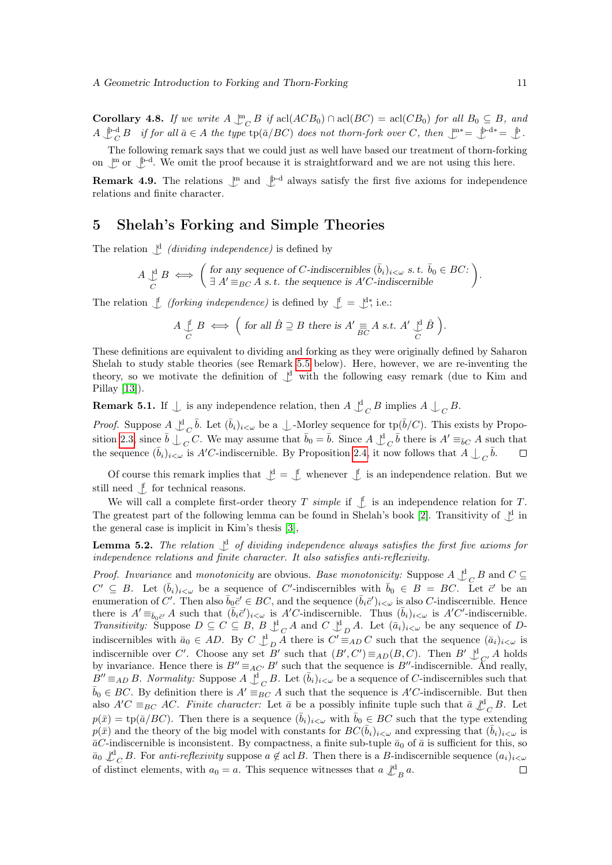**Corollary 4.8.** If we write  $A \perp C C B$  if acl( $ACB_0$ )  $\cap$  acl( $BC$ ) = acl( $CB_0$ ) for all  $B_0 \subseteq B$ , and  $A \bigcup_{C}^{\text{b-d}} B$  if for all  $\bar{a} \in A$  the type  $\text{tp}(\bar{a}/BC)$  does not thorn-fork over C, then  $\bigcup_{C}^{\text{m}} \ast = \bigcup_{C}^{\text{b-d}} \ast = \bigcup_{C}^{\text{b-d}}$ .

The following remark says that we could just as well have based our treatment of thorn-forking on  $\mathbb{L}^m$  or  $\mathbb{L}^{b-d}$ . We omit the proof because it is straightforward and we are not using this here.

**Remark 4.9.** The relations  $\mathbb{L}^m$  and  $\mathbb{L}^{p-d}$  always satisfy the first five axioms for independence relations and finite character.

## <span id="page-10-0"></span>5 Shelah's Forking and Simple Theories

The relation  $\bigcup$ <sup>d</sup> *(dividing independence)* is defined by

$$
A \underset{C}{\cup}^{d} B \iff \left( \text{ for any sequence of } C \text{-indiscernibles } (\bar{b}_i)_{i < \omega} \text{ s. t. } \bar{b}_0 \in BC: \atop \exists A' \equiv_{BC} A \text{ s. t. the sequence is } A'C \text{-indiscernible} \right).
$$

The relation  $\int$  (forking independence) is defined by  $\int$  =  $\int$ <sup>\*</sup>, i.e.:

$$
A \underset{C}{\downarrow} B \iff \Big(\text{ for all } \hat{B} \supseteq B \text{ there is } A' \underset{BC}{\equiv} A \text{ s.t. } A' \underset{C}{\downarrow} \hat{B}\Big).
$$

These definitions are equivalent to dividing and forking as they were originally defined by Saharon Shelah to study stable theories (see Remark [5.5](#page-11-1) below). Here, however, we are re-inventing the theory, so we motivate the definition of  $\mathcal{L}^d$  with the following easy remark (due to Kim and Pillay [\[13\]](#page-14-12)).

<span id="page-10-1"></span>**Remark 5.1.** If  $\int$  is any independence relation, then  $A \bigcup_{C} B$  implies  $A \bigcup_{C} B$ .

*Proof.* Suppose  $A \underset{-}{\cup} C \overline{b}$ . Let  $(\overline{b}_i)_{i<\omega}$  be a  $\bigcup$ -Morley sequence for tp $(\overline{b}/C)$ . This exists by Propo-sition [2.3,](#page-4-2) since  $\bar{b} \perp_{C} C$ . We may assume that  $\bar{b}_0 = \bar{b}$ . Since  $A \perp_{C} \bar{b}$  there is  $A' \equiv_{\bar{b}C} A$  such that the sequence  $(\bar{b}_i)_{i<\omega}$  is A'C-indiscernible. By Proposition [2.4,](#page-4-3) it now follows that  $A \bigcup_C \bar{b}$ .  $\Box$ 

Of course this remark implies that  $\mathcal{L} = \mathcal{L}$  whenever  $\mathcal{L}$  is an independence relation. But we still need  $\int$  for technical reasons.

We will call a complete first-order theory T simple if  $\bigcup_{i=1}^{n}$  is an independence relation for T. The greatest part of the following lemma can be found in Shelah's book [\[2\]](#page-14-1). Transitivity of  $\bigcup$ <sup>d</sup> in the general case is implicit in Kim's thesis [\[3\]](#page-14-2),

**Lemma 5.2.** The relation  $\int_a^d$  of dividing independence always satisfies the first five axioms for independence relations and finite character. It also satisfies anti-reflexivity.

*Proof.* Invariance and monotonicity are obvious. Base monotonicity: Suppose  $A \nightharpoonup_C^d B$  and  $C \subseteq$  $C' \subseteq B$ . Let  $(\bar{b}_i)_{i<\omega}$  be a sequence of C'-indiscernibles with  $\bar{b}_0 \in B = BC$ . Let  $\bar{c}'$  be an enumeration of C'. Then also  $\bar{b}_0\bar{c}' \in BC$ , and the sequence  $(\bar{b}_i\bar{c}')_{i\leq\omega}$  is also C-indiscernible. Hence there is  $A' \equiv_{\bar{b}_0 \bar{c}'} A$  such that  $(\bar{b}_i \bar{c}')_{i < \omega}$  is  $A'C$ -indiscernible. Thus  $(\bar{b}_i)_{i < \omega}$  is  $A'C'$ -indiscernible. Transitivity: Suppose  $D \subseteq C \subseteq B$ ,  $B \downarrow^d_C A$  and  $C \downarrow^d_D A$ . Let  $(\bar{a}_i)_{i < \omega}$  be any sequence of Dindiscernibles with  $\bar{a}_0 \in AD$ . By  $C \perp^d_D \bar{A}$  there is  $C' \equiv_{AD} C$  such that the sequence  $(\bar{a}_i)_{i \leq \omega}$  is indiscernible over C'. Choose any set B' such that  $(B', C') \equiv_{AD}(B, C)$ . Then B'  $\bigcup_{C'}^d A$  holds by invariance. Hence there is  $B'' \equiv_{AC'} B'$  such that the sequence is  $B''$ -indiscernible. And really,  $B'' \equiv_{AD} B$ . Normality: Suppose  $A \bigcup_{C}^{d} B$ . Let  $(\bar{b}_i)_{i \leq \omega}$  be a sequence of C-indiscernibles such that  $\bar{b}_0 \in BC$ . By definition there is  $A' \equiv_{BC} A$  such that the sequence is  $A'C$ -indiscernible. But then also  $A'C \equiv_{BC} AC$ . Finite character: Let  $\bar{a}$  be a possibly infinite tuple such that  $\bar{a} \not\perp^{\text{d}}_C B$ . Let  $p(\bar{x}) = \text{tp}(\bar{a}/BC)$ . Then there is a sequence  $(\bar{b}_i)_{i<\omega}$  with  $\bar{b}_0 \in BC$  such that the type extending  $p(\bar{x})$  and the theory of the big model with constants for  $BC(\bar{b}_i)_{i<\omega}$  and expressing that  $(\bar{b}_i)_{i<\omega}$  is  $\bar{a}C$ -indiscernible is inconsistent. By compactness, a finite sub-tuple  $\bar{a}_0$  of  $\bar{a}$  is sufficient for this, so  $\bar{a}_0 \nightharpoonup_{C}^{\mathsf{d}} B$ . For anti-reflexivity suppose  $a \notin \text{acl }B$ . Then there is a B-indiscernible sequence  $(a_i)_{i<\omega}$ of distinct elements, with  $a_0 = a$ . This sequence witnesses that  $a \nvert \mathcal{L}_B^d a$ .  $\Box$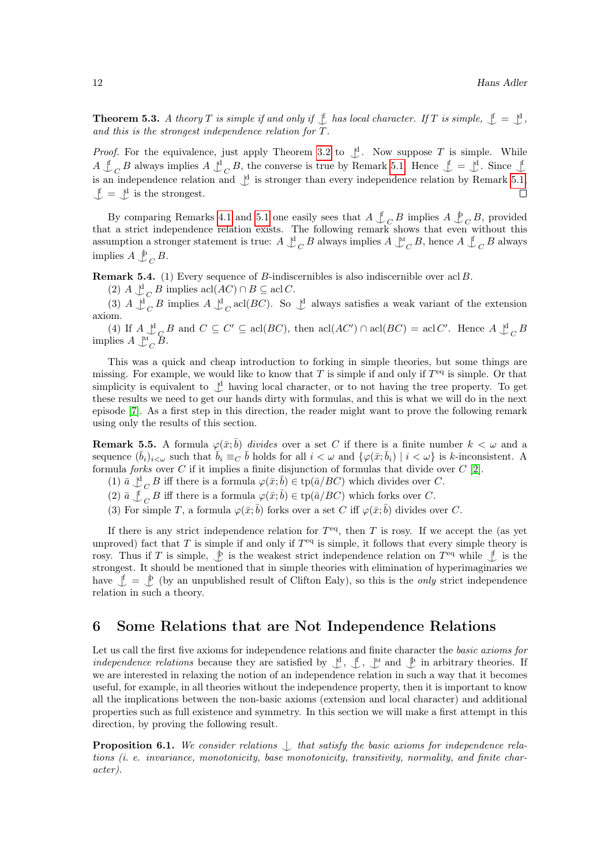**Theorem 5.3.** A theory T is simple if and only if  $\int$  has local character. If T is simple,  $\int$  =  $\int$ , and this is the strongest independence relation for T.

*Proof.* For the equivalence, just apply Theorem [3.2](#page-6-1) to  $\downarrow^d$ . Now suppose T is simple. While  $A \perp_C B$  always implies  $A \perp_C B$ , the converse is true by Remark [5.1.](#page-10-1) Hence  $\perp = \perp_C A$ . Since  $\perp$ is an independence relation and  $\int_{a}^{d}$  is stronger than every independence relation by Remark [5.1,](#page-10-1)  $\mathcal{L} = \mathcal{L}^d$  is the strongest.  $\Box$ 

By comparing Remarks [4.1](#page-8-0) and [5.1](#page-10-1) one easily sees that  $A \nightharpoonup_C B$  implies  $A \nightharpoonup_C B$ , provided that a strict independence relation exists. The following remark shows that even without this assumption a stronger statement is true:  $A \bigcup_{C}^{d} B$  always implies  $A \bigcup_{C}^{M} B$ , hence  $A \bigcup_{C}^{f} B$  always implies  $A \bigcup_C B$ .

**Remark 5.4.** (1) Every sequence of B-indiscernibles is also indiscernible over acl B.

(2)  $A \bigcup_{C}^{d} B$  implies  $\operatorname{acl}(AC) \cap B \subseteq \operatorname{acl} C$ .

(3)  $A \downarrow^d_C B$  implies  $A \downarrow^d_C$  acl(BC). So  $\downarrow^d$  always satisfies a weak variant of the extension axiom.

(4) If  $A \underset{\sim}{\downarrow^d} B$  and  $C \subseteq C' \subseteq \text{acl}(BC)$ , then  $\text{acl}(AC') \cap \text{acl}(BC) = \text{acl}(C'$ . Hence  $A \underset{\sim}{\downarrow^d} B$ implies  $A \bigcup_{C}^{M} \tilde{B}$ .

This was a quick and cheap introduction to forking in simple theories, but some things are missing. For example, we would like to know that  $T$  is simple if and only if  $T<sup>eq</sup>$  is simple. Or that simplicity is equivalent to  $\mathcal{L}$  having local character, or to not having the tree property. To get these results we need to get our hands dirty with formulas, and this is what we will do in the next episode [\[7\]](#page-14-6). As a first step in this direction, the reader might want to prove the following remark using only the results of this section.

<span id="page-11-1"></span>**Remark 5.5.** A formula  $\varphi(\bar{x}; \bar{b})$  divides over a set C if there is a finite number  $k < \omega$  and a sequence  $(\bar{b}_i)_{i\leq \omega}$  such that  $\bar{b}_i \equiv_C \bar{b}$  holds for all  $i < \omega$  and  $\{\varphi(\bar{x}; \bar{b}_i) \mid i < \omega\}$  is k-inconsistent. A formula *forks* over  $C$  if it implies a finite disjunction of formulas that divide over  $C$  [\[2\]](#page-14-1).

(1)  $\bar{a} \perp_C^d B$  iff there is a formula  $\varphi(\bar{x}; \bar{b}) \in \text{tp}(\bar{a}/BC)$  which divides over C.

(2)  $\bar{a} \perp \in C$  iff there is a formula  $\varphi(\bar{x}; \bar{b}) \in \text{tp}(\bar{a}/BC)$  which forks over C.

(3) For simple T, a formula  $\varphi(\bar{x};\bar{b})$  forks over a set C iff  $\varphi(\bar{x};\bar{b})$  divides over C.

If there is any strict independence relation for  $T<sup>eq</sup>$ , then T is rosy. If we accept the (as yet unproved) fact that  $T$  is simple if and only if  $T<sup>eq</sup>$  is simple, it follows that every simple theory is rosy. Thus if T is simple,  $\oint$  is the weakest strict independence relation on  $T<sup>eq</sup>$  while  $\oint$  is the strongest. It should be mentioned that in simple theories with elimination of hyperimaginaries we have  $\mathcal{L} = \mathcal{L}$  (by an unpublished result of Clifton Ealy), so this is the *only* strict independence relation in such a theory.

## <span id="page-11-0"></span>6 Some Relations that are Not Independence Relations

Let us call the first five axioms for independence relations and finite character the basic axioms for *independence relations* because they are satisfied by  $\bigcup_{i=1}^{d}$ ,  $\bigcup_{i=1}^{k}$ ,  $\bigcup_{i=1}^{k}$  and  $\bigcup_{i=1}^{k}$  in arbitrary theories. If we are interested in relaxing the notion of an independence relation in such a way that it becomes useful, for example, in all theories without the independence property, then it is important to know all the implications between the non-basic axioms (extension and local character) and additional properties such as full existence and symmetry. In this section we will make a first attempt in this direction, by proving the following result.

**Proposition 6.1.** We consider relations  $\int$  that satisfy the basic axioms for independence relations (i. e. invariance, monotonicity, base monotonicity, transitivity, normality, and finite character).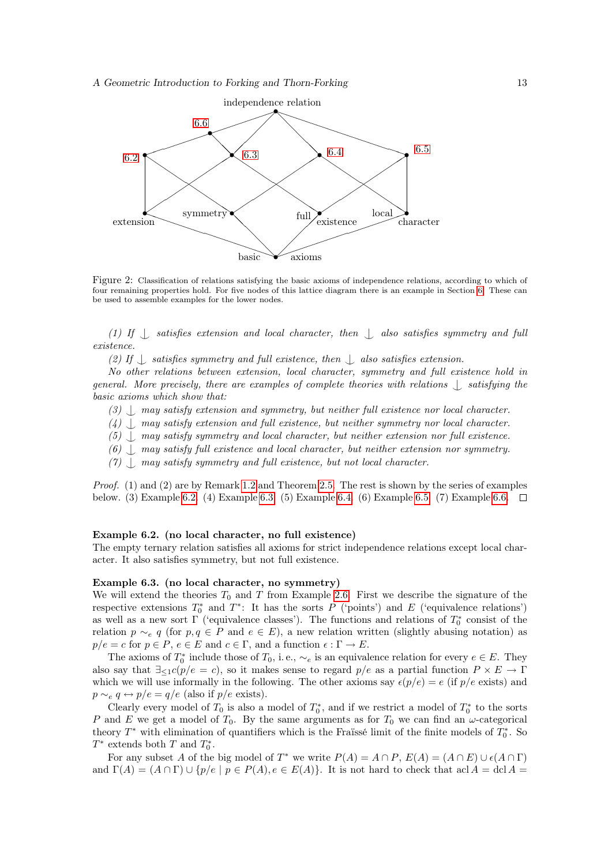

Figure 2: Classification of relations satisfying the basic axioms of independence relations, according to which of four remaining properties hold. For five nodes of this lattice diagram there is an example in Section [6.](#page-11-0) These can be used to assemble examples for the lower nodes.

(1) If  $\parallel$  satisfies extension and local character, then  $\parallel$  also satisfies symmetry and full existence.

(2) If  $\Box$  satisfies symmetry and full existence, then  $\Box$  also satisfies extension.

No other relations between extension, local character, symmetry and full existence hold in general. More precisely, there are examples of complete theories with relations  $\Box$  satisfying the basic axioms which show that:

- (3)  $\Box$  may satisfy extension and symmetry, but neither full existence nor local character.
- $(4)$   $\langle$  may satisfy extension and full existence, but neither symmetry nor local character.
- $(5)$ , may satisfy symmetry and local character, but neither extension nor full existence.
- (6)  $\Box$  may satisfy full existence and local character, but neither extension nor symmetry.
- $(7)$   $\langle$  may satisfy symmetry and full existence, but not local character.

Proof. (1) and (2) are by Remark [1.2](#page-1-1) and Theorem [2.5.](#page-5-1) The rest is shown by the series of examples below. (3) Example [6.2.](#page-12-0) (4) Example [6.3.](#page-12-1) (5) Example [6.4.](#page-13-0) (6) Example [6.5.](#page-13-1) (7) Example [6.6.](#page-13-2)

#### <span id="page-12-0"></span>Example 6.2. (no local character, no full existence)

The empty ternary relation satisfies all axioms for strict independence relations except local character. It also satisfies symmetry, but not full existence.

#### <span id="page-12-1"></span>Example 6.3. (no local character, no symmetry)

We will extend the theories  $T_0$  and T from Example [2.6.](#page-5-2) First we describe the signature of the respective extensions  $T_0^*$  and  $T^*$ : It has the sorts P ('points') and E ('equivalence relations') as well as a new sort  $\Gamma$  ('equivalence classes'). The functions and relations of  $T_0^*$  consist of the relation  $p \sim_e q$  (for  $p, q \in P$  and  $e \in E$ ), a new relation written (slightly abusing notation) as  $p/e = c$  for  $p \in P$ ,  $e \in E$  and  $c \in \Gamma$ , and a function  $\epsilon : \Gamma \to E$ .

The axioms of  $T_0^*$  include those of  $T_0$ , i.e.,  $\sim_e$  is an equivalence relation for every  $e \in E$ . They also say that  $\exists_{\leq 1} c(p/e = c)$ , so it makes sense to regard  $p/e$  as a partial function  $P \times E \to \Gamma$ which we will use informally in the following. The other axioms say  $\epsilon(p/e) = e$  (if  $p/e$  exists) and  $p \sim_e q \leftrightarrow p/e = q/e$  (also if  $p/e$  exists).

Clearly every model of  $T_0$  is also a model of  $T_0^*$ , and if we restrict a model of  $T_0^*$  to the sorts P and E we get a model of  $T_0$ . By the same arguments as for  $T_0$  we can find an  $\omega$ -categorical theory  $T^*$  with elimination of quantifiers which is the Fraïssé limit of the finite models of  $T_0^*$ . So  $T^*$  extends both  $T$  and  $T_0^*$ .

For any subset A of the big model of  $T^*$  we write  $P(A) = A \cap P$ ,  $E(A) = (A \cap E) \cup \epsilon(A \cap \Gamma)$ and  $\Gamma(A) = (A \cap \Gamma) \cup \{p/e \mid p \in P(A), e \in E(A)\}\$ . It is not hard to check that acl  $A = \text{dcl } A =$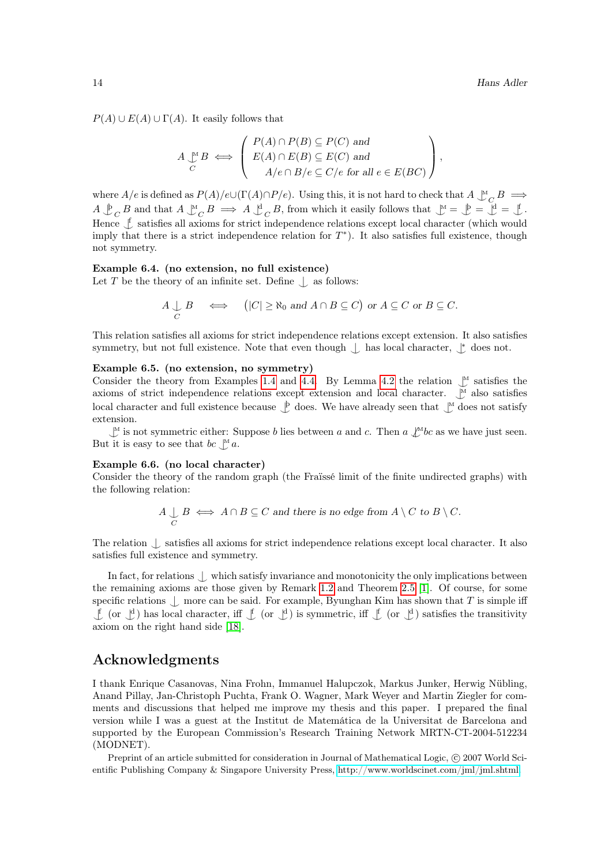$P(A) \cup E(A) \cup \Gamma(A)$ . It easily follows that

$$
A \underset{C}{\downarrow^{\mathsf{M}}} B \iff \begin{pmatrix} P(A) \cap P(B) \subseteq P(C) \text{ and} \\ E(A) \cap E(B) \subseteq E(C) \text{ and} \\ A/e \cap B/e \subseteq C/e \text{ for all } e \in E(BC) \end{pmatrix},
$$

where  $A/e$  is defined as  $P(A)/e\cup(\Gamma(A)\cap P/e)$ . Using this, it is not hard to check that  $A \downarrow^M_C B \implies$  $A \bigcup_{C}^{b} B$  and that  $A \bigcup_{C}^{M} B \implies A \bigcup_{C}^{d} B$ , from which it easily follows that  $\bigcup_{M}^{\infty} = \bigcup_{C}^{\infty} = \bigcup_{A}^{\infty}$ . Hence  $\oint$  satisfies all axioms for strict independence relations except local character (which would imply that there is a strict independence relation for  $T^*$ ). It also satisfies full existence, though not symmetry.

#### <span id="page-13-0"></span>Example 6.4. (no extension, no full existence)

Let  $T$  be the theory of an infinite set. Define  $\bigcup$  as follows:

$$
A \underset{C}{\cup} B \iff \left( |C| \ge \aleph_0 \text{ and } A \cap B \subseteq C \right) \text{ or } A \subseteq C \text{ or } B \subseteq C.
$$

This relation satisfies all axioms for strict independence relations except extension. It also satisfies symmetry, but not full existence. Note that even though  $\int$  has local character,  $\int^*$  does not.

#### <span id="page-13-1"></span>Example 6.5. (no extension, no symmetry)

Consider the theory from Examples [1.4](#page-2-1) and [4.4.](#page-8-2) By Lemma [4.2](#page-8-3) the relation  $\bigcup_{M}^M$  satisfies the axioms of strict independence relations except extension and local character.  $\mathcal{L}^M$  also satisfies local character and full existence because  $\mathcal{L}$  does. We have already seen that  $\mathcal{L}$  does not satisfy extension.

 $\mathcal{M}$  is not symmetric either: Suppose b lies between a and c. Then a  $\mathcal{N}$ bc as we have just seen. But it is easy to see that  $bc \bigcup a$ .

## <span id="page-13-2"></span>Example 6.6. (no local character)

Consider the theory of the random graph (the Fraïssé limit of the finite undirected graphs) with the following relation:

$$
A \underset{C}{\cup} B \iff A \cap B \subseteq C \text{ and there is no edge from } A \setminus C \text{ to } B \setminus C.
$$

The relation  $\bigcup$  satisfies all axioms for strict independence relations except local character. It also satisfies full existence and symmetry.

In fact, for relations  $\langle \cdot \rangle$  which satisfy invariance and monotonicity the only implications between the remaining axioms are those given by Remark [1.2](#page-1-1) and Theorem [2.5](#page-5-1) [\[1\]](#page-14-0). Of course, for some specific relations  $\bigcup$  more can be said. For example, Byunghan Kim has shown that T is simple iff  $\[\n\bigcup_{i=1}^{\infty}$  (or  $\bigcup_{i=1}^{\infty}$ ) is symmetric, iff  $\bigcup_{i=1}^{\infty}$  (or  $\bigcup_{i=1}^{\infty}$ ) satisfies the transitivity axiom on the right hand side [\[18\]](#page-14-17).

## Acknowledgments

I thank Enrique Casanovas, Nina Frohn, Immanuel Halupczok, Markus Junker, Herwig Nübling, Anand Pillay, Jan-Christoph Puchta, Frank O. Wagner, Mark Weyer and Martin Ziegler for comments and discussions that helped me improve my thesis and this paper. I prepared the final version while I was a guest at the Institut de Matemática de la Universitat de Barcelona and supported by the European Commission's Research Training Network MRTN-CT-2004-512234 (MODNET).

Preprint of an article submitted for consideration in Journal of Mathematical Logic, © 2007 World Scientific Publishing Company & Singapore University Press, [http://www.worldscinet.com/jml/jml.shtml.](http://www.worldscinet.com/jml/jml.shtml)